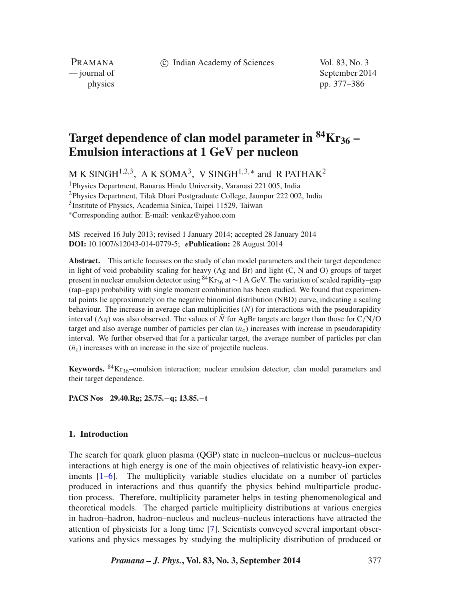c Indian Academy of Sciences Vol. 83, No. 3

PRAMANA<br>
— journal of

September 2014 physics pp. 377–386

# **Target dependence of clan model parameter in 84Kr36 – Emulsion interactions at 1 GeV per nucleon**

M K SINGH<sup>1,2,3</sup>, A K SOMA<sup>3</sup>, V SINGH<sup>1,3,\*</sup> and R PATHAK<sup>2</sup>

1Physics Department, Banaras Hindu University, Varanasi 221 005, India

2Physics Department, Tilak Dhari Postgraduate College, Jaunpur 222 002, India

3Institute of Physics, Academia Sinica, Taipei 11529, Taiwan

∗Corresponding author. E-mail: venkaz@yahoo.com

MS received 16 July 2013; revised 1 January 2014; accepted 28 January 2014 **DOI:** 10.1007/s12043-014-0779-5; *e***Publication:** 28 August 2014

**Abstract.** This article focusses on the study of clan model parameters and their target dependence in light of void probability scaling for heavy (Ag and Br) and light (C, N and O) groups of target present in nuclear emulsion detector using <sup>84</sup>Kr<sub>36</sub> at ∼1 A GeV. The variation of scaled rapidity–gap (rap–gap) probability with single moment combination has been studied. We found that experimental points lie approximately on the negative binomial distribution (NBD) curve, indicating a scaling behaviour. The increase in average clan multiplicities  $(N)$  for interactions with the pseudorapidity interval  $(\Delta \eta)$  was also observed. The values of N for AgBr targets are larger than those for C/N/O<br>target and also average number of particles per clan ( $\bar{n}$ ) increases with increase in pseudoranidity target and also average number of particles per clan  $(\bar{n}_c)$  increases with increase in pseudorapidity interval. We further observed that for a particular target, the average number of particles per clan  $(\bar{n}_c)$  increases with an increase in the size of projectile nucleus.

**Keywords.** <sup>84</sup>Kr<sub>36</sub>–emulsion interaction; nuclear emulsion detector; clan model parameters and their target dependence.

**PACS Nos 29.40.Rg; 25.75.**−**q; 13.85.**−**t**

## **1. Introduction**

The search for quark gluon plasma (QGP) state in nucleon–nucleus or nucleus–nucleus interactions at high energy is one of the main objectives of relativistic heavy-ion experiments [\[1–](#page-9-0)[6\]](#page-9-1). The multiplicity variable studies elucidate on a number of particles produced in interactions and thus quantify the physics behind multiparticle production process. Therefore, multiplicity parameter helps in testing phenomenological and theoretical models. The charged particle multiplicity distributions at various energies in hadron–hadron, hadron–nucleus and nucleus–nucleus interactions have attracted the attention of physicists for a long time [\[7\]](#page-9-2). Scientists conveyed several important observations and physics messages by studying the multiplicity distribution of produced or

*Pramana – J. Phys.***, Vol. 83, No. 3, September 2014** 377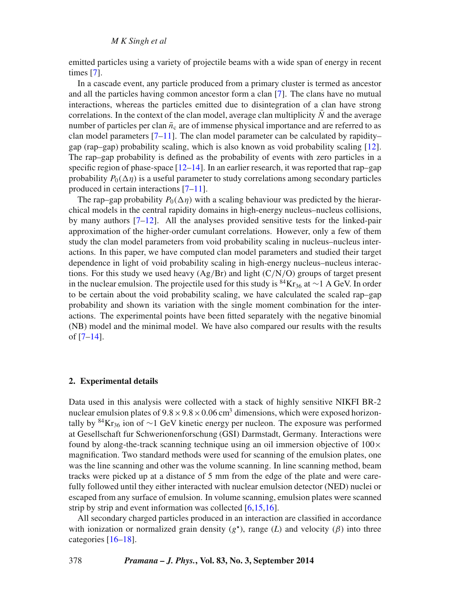emitted particles using a variety of projectile beams with a wide span of energy in recent times [\[7\]](#page-9-2).

In a cascade event, any particle produced from a primary cluster is termed as ancestor and all the particles having common ancestor form a clan [\[7\]](#page-9-2). The clans have no mutual interactions, whereas the particles emitted due to disintegration of a clan have strong correlations. In the context of the clan model, average clan multiplicity  $\bar{N}$  and the average number of particles per clan  $\bar{n}_c$  are of immense physical importance and are referred to as clan model parameters [\[7–](#page-9-2)[11\]](#page-9-3). The clan model parameter can be calculated by rapidity– gap (rap–gap) probability scaling, which is also known as void probability scaling [\[12\]](#page-9-4). The rap–gap probability is defined as the probability of events with zero particles in a specific region of phase-space  $[12-14]$  $[12-14]$ . In an earlier research, it was reported that rap–gap probability  $P_0(\Delta \eta)$  is a useful parameter to study correlations among secondary particles<br>produced in certain interactions [7–11] produced in certain interactions [\[7–](#page-9-2)[11\]](#page-9-3).

The rap–gap probability  $P_0(\Delta \eta)$  with a scaling behaviour was predicted by the hierar-<br>ical models in the central rapidity domains in high-energy nucleus–nucleus collisions chical models in the central rapidity domains in high-energy nucleus–nucleus collisions, by many authors [\[7](#page-9-2)[–12\]](#page-9-4). All the analyses provided sensitive tests for the linked-pair approximation of the higher-order cumulant correlations. However, only a few of them study the clan model parameters from void probability scaling in nucleus–nucleus interactions. In this paper, we have computed clan model parameters and studied their target dependence in light of void probability scaling in high-energy nucleus–nucleus interactions. For this study we used heavy  $(Ag/Br)$  and light  $(C/N/O)$  groups of target present in the nuclear emulsion. The projectile used for this study is <sup>84</sup>Kr<sub>36</sub> at ∼1 A GeV. In order to be certain about the void probability scaling, we have calculated the scaled rap–gap probability and shown its variation with the single moment combination for the interactions. The experimental points have been fitted separately with the negative binomial (NB) model and the minimal model. We have also compared our results with the results of [\[7](#page-9-2)[–14\]](#page-9-5).

## **2. Experimental details**

Data used in this analysis were collected with a stack of highly sensitive NIKFI BR-2 nuclear emulsion plates of  $9.8 \times 9.8 \times 0.06$  cm<sup>3</sup> dimensions, which were exposed horizontally by <sup>84</sup>Kr<sub>36</sub> ion of ~1 GeV kinetic energy per nucleon. The exposure was performed at Gesellschaft fur Schwerionenforschung (GSI) Darmstadt, Germany. Interactions were found by along-the-track scanning technique using an oil immersion objective of  $100 \times$ magnification. Two standard methods were used for scanning of the emulsion plates, one was the line scanning and other was the volume scanning. In line scanning method, beam tracks were picked up at a distance of 5 mm from the edge of the plate and were carefully followed until they either interacted with nuclear emulsion detector (NED) nuclei or escaped from any surface of emulsion. In volume scanning, emulsion plates were scanned strip by strip and event information was collected [\[6,](#page-9-1)[15,](#page-9-6)[16\]](#page-9-7).

All secondary charged particles produced in an interaction are classified in accordance with ionization or normalized grain density  $(g^*)$ , range (*L*) and velocity ( $\beta$ ) into three categories [\[16](#page-9-7)[–18\]](#page-9-8).

378 *Pramana – J. Phys.***, Vol. 83, No. 3, September 2014**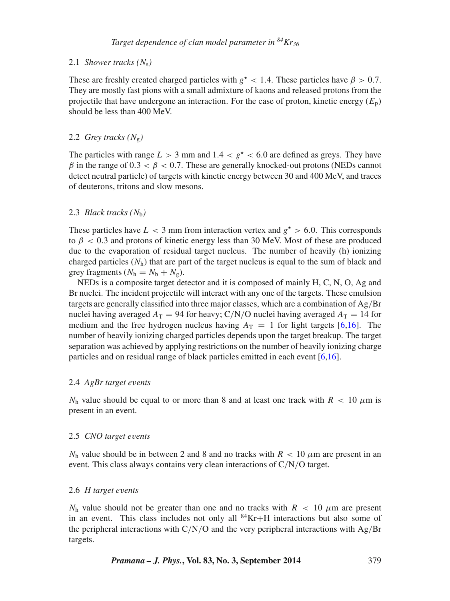## 2.1 *Shower tracks (*Ns*)*

These are freshly created charged particles with  $g^*$  < 1.4. These particles have  $\beta$  > 0.7. They are mostly fast pions with a small admixture of kaons and released protons from the projectile that have undergone an interaction. For the case of proton, kinetic energy  $(E_n)$ should be less than 400 MeV.

## 2.2 *Grey tracks*  $(N_g)$

The particles with range  $L > 3$  mm and  $1.4 < g^* < 6.0$  are defined as greys. They have β in the range of  $0.3 < β < 0.7$ . These are generally knocked-out protons (NEDs cannot detect neutral particle) of targets with kinetic energy between 30 and 400 MeV, and traces of deuterons, tritons and slow mesons.

## 2.3 *Black tracks*  $(N<sub>b</sub>)$

These particles have  $L < 3$  mm from interaction vertex and  $g^* > 6.0$ . This corresponds to  $\beta$  < 0.3 and protons of kinetic energy less than 30 MeV. Most of these are produced due to the evaporation of residual target nucleus. The number of heavily (h) ionizing charged particles  $(N_h)$  that are part of the target nucleus is equal to the sum of black and grey fragments  $(N_h = N_b + N_g)$ .

NEDs is a composite target detector and it is composed of mainly H, C, N, O, Ag and Br nuclei. The incident projectile will interact with any one of the targets. These emulsion targets are generally classified into three major classes, which are a combination of Ag/Br nuclei having averaged  $A_T = 94$  for heavy; C/N/O nuclei having averaged  $A_T = 14$  for medium and the free hydrogen nucleus having  $A_T = 1$  for light targets [\[6,](#page-9-1)[16\]](#page-9-7). The number of heavily ionizing charged particles depends upon the target breakup. The target separation was achieved by applying restrictions on the number of heavily ionizing charge particles and on residual range of black particles emitted in each event [\[6](#page-9-1)[,16\]](#page-9-7).

## 2.4 *AgBr target e*v*ents*

 $N_h$  value should be equal to or more than 8 and at least one track with  $R < 10 \mu m$  is present in an event.

#### 2.5 *CNO target e*v*ents*

 $N_h$  value should be in between 2 and 8 and no tracks with  $R < 10 \mu m$  are present in an event. This class always contains very clean interactions of C/N/O target.

#### 2.6 *H target e*v*ents*

 $N<sub>h</sub>$  value should not be greater than one and no tracks with  $R < 10 \mu m$  are present in an event. This class includes not only all  ${}^{84}\text{Kr}+H$  interactions but also some of the peripheral interactions with  $C/N/O$  and the very peripheral interactions with  $Ag/Br$ targets.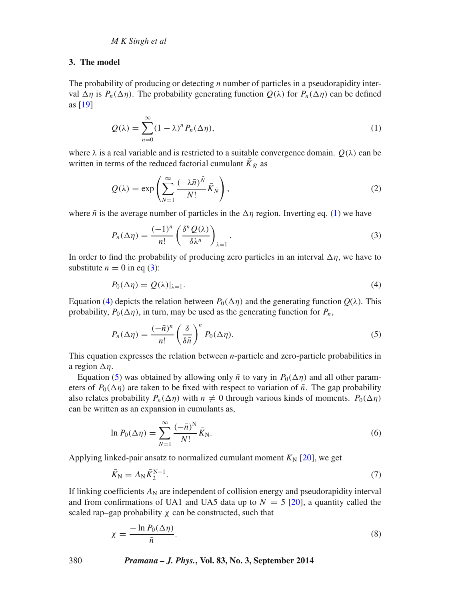## **3. The model**

The probability of producing or detecting *n* number of particles in a pseudorapidity interval  $\Delta \eta$  is  $P_n(\Delta \eta)$ . The probability generating function  $Q(\lambda)$  for  $P_n(\Delta \eta)$  can be defined as [19] as [\[19\]](#page-9-9)

<span id="page-3-0"></span>
$$
Q(\lambda) = \sum_{n=0}^{\infty} (1 - \lambda)^n P_n(\Delta \eta), \qquad (1)
$$

where  $\lambda$  is a real variable and is restricted to a suitable convergence domain.  $O(\lambda)$  can be written in terms of the reduced factorial cumulant  $K_{\bar{N}}$  as

$$
Q(\lambda) = \exp\left(\sum_{N=1}^{\infty} \frac{(-\lambda \bar{n})^{\bar{N}}}{N!} \bar{K}_{\bar{N}}\right),\tag{2}
$$

where  $\bar{n}$  is the average number of particles in the  $\Delta \eta$  region. Inverting eq. [\(1\)](#page-3-0) we have

<span id="page-3-1"></span>
$$
P_n(\Delta \eta) = \frac{(-1)^n}{n!} \left( \frac{\delta^n Q(\lambda)}{\delta \lambda^n} \right)_{\lambda=1}.
$$
 (3)

In order to find the probability of producing zero particles in an interval  $\Delta \eta$ , we have to substitute  $n = 0$  in eq. (3): substitute  $n = 0$  in eq [\(3\)](#page-3-1):

<span id="page-3-2"></span>
$$
P_0(\Delta \eta) = Q(\lambda)|_{\lambda=1}.\tag{4}
$$

Equation [\(4\)](#page-3-2) depicts the relation between  $P_0(\Delta \eta)$  and the generating function  $Q(\lambda)$ . This probability  $P_0(\Delta n)$  in turn may be used as the generating function for P probability,  $P_0(\Delta \eta)$ , in turn, may be used as the generating function for  $P_n$ ,

<span id="page-3-3"></span>
$$
P_n(\Delta \eta) = \frac{(-\bar{n})^n}{n!} \left(\frac{\delta}{\delta \bar{n}}\right)^n P_0(\Delta \eta). \tag{5}
$$

This equation expresses the relation between *n*-particle and zero-particle probabilities in a region  $\Delta \eta$ .<br>Fouation

Equation [\(5\)](#page-3-3) was obtained by allowing only  $\bar{n}$  to vary in  $P_0(\Delta \eta)$  and all other param-<br>ers of  $P_0(\Delta n)$  are taken to be fixed with respect to variation of  $\bar{n}$ . The gan probability eters of  $P_0(\Delta \eta)$  are taken to be fixed with respect to variation of  $\bar{n}$ . The gap probability<br>also relates probability  $P_1(\Delta n)$  with  $n \neq 0$  through various kinds of moments  $P_0(\Delta n)$ also relates probability  $P_n(\Delta \eta)$  with  $n \neq 0$  through various kinds of moments.  $P_0(\Delta \eta)$ <br>can be written as an expansion in cumulants as can be written as an expansion in cumulants as,

$$
\ln P_0(\Delta \eta) = \sum_{N=1}^{\infty} \frac{(-\bar{n})^N}{N!} \bar{K}_N.
$$
\n(6)

Applying linked-pair ansatz to normalized cumulant moment  $K_N$  [\[20\]](#page-9-10), we get

$$
\bar{K}_{\rm N} = A_{\rm N} \bar{K}_2^{\rm N-1}.\tag{7}
$$

If linking coefficients  $A_N$  are independent of collision energy and pseudorapidity interval and from confirmations of UA1 and UA5 data up to  $N = 5$  [\[20\]](#page-9-10), a quantity called the scaled rap–gap probability  $\chi$  can be constructed, such that

<span id="page-3-4"></span>
$$
\chi = \frac{-\ln P_0(\Delta \eta)}{\bar{n}}.\tag{8}
$$

380 *Pramana – J. Phys.***, Vol. 83, No. 3, September 2014**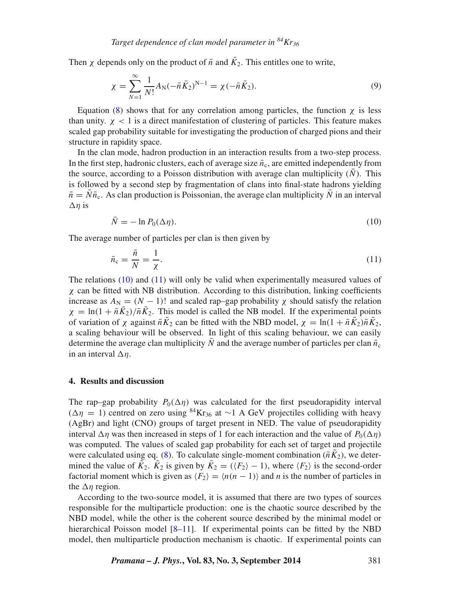Then x depends only on the product of  $\bar{n}$  and  $\bar{K}_2$ . This entitles one to write,

$$
\chi = \sum_{N=1}^{\infty} \frac{1}{N!} A_N (-\bar{n} \bar{K}_2)^{N-1} = \chi (-\bar{n} \bar{K}_2).
$$
 (9)

Equation [\(8\)](#page-3-4) shows that for any correlation among particles, the function  $\chi$  is less than unity.  $\chi$  < 1 is a direct manifestation of clustering of particles. This feature makes scaled gap probability suitable for investigating the production of charged pions and their structure in rapidity space.

In the clan mode, hadron production in an interaction results from a two-step process. In the first step, hadronic clusters, each of average size  $\bar{n}_c$ , are emitted independently from the source, according to a Poisson distribution with average clan multiplicity  $(N)$ . This is followed by a second step by fragmentation of clans into final-state hadrons yielding  $\bar{n} = N\bar{n}_c$ . As clan production is Poissonian, the average clan multiplicity  $\bar{N}$  in an interval  $\Delta \eta$  is

<span id="page-4-1"></span><span id="page-4-0"></span>
$$
\bar{N} = -\ln P_0(\Delta \eta). \tag{10}
$$

The average number of particles per clan is then given by

$$
\bar{n}_{\rm c} = \frac{\bar{n}}{N} = \frac{1}{\chi}.\tag{11}
$$

The relations [\(10\)](#page-4-0) and [\(11\)](#page-4-1) will only be valid when experimentally measured values of  $\chi$  can be fitted with NB distribution. According to this distribution, linking coefficients increase as  $A_N = (N - 1)!$  and scaled rap–gap probability x should satisfy the relation  $\chi = \ln(1 + \bar{n}\bar{K_2})/\bar{n}\bar{K_2}$ . This model is called the NB model. If the experimental points of variation of  $\chi$  against  $\bar{n}K_2$  can be fitted with the NBD model,  $\chi = \ln(1 + \bar{n}K_2)\bar{n}K_2$ , a scaling behaviour will be observed. In light of this scaling behaviour, we can easily determine the average clan multiplicity  $\bar{N}$  and the average number of particles per clan  $\bar{n}_{c}$ in an interval  $\Delta \eta$ .

#### **4. Results and discussion**

The rap–gap probability  $P_0(\Delta \eta)$  was calculated for the first pseudorapidity interval<br>( $\Delta \eta$  = 1) centred on zero using <sup>84</sup>Kras at  $\sim$  1.4 GeV projectiles colliding with heavy  $(\Delta \eta = 1)$  centred on zero using <sup>84</sup>Kr<sub>36</sub> at ∼1 A GeV projectiles colliding with heavy<br>(AgRr) and light (CNO) groups of target present in NED. The value of pseudorapidity (AgBr) and light (CNO) groups of target present in NED. The value of pseudorapidity interval  $\Delta \eta$  was then increased in steps of 1 for each interaction and the value of  $P_0(\Delta)$ <br>was computed. The values of scaled gap probability for each set of target and project was computed. The values of scaled gap probability for each set of target and projectile were calculated using eq. [\(8\)](#page-3-4). To calculate single-moment combination ( $\bar{n}K_2$ ), we determined the value of  $\bar{K}_2$ .  $\bar{K}_2$  is given by  $\bar{K}_2 = (\langle F_2 \rangle - 1)$ , where  $\langle F_2 \rangle$  is the second-order factorial moment which is given as  $\langle F_2 \rangle = \langle n(n - 1) \rangle$  and *n* is the number of particles in the  $\Delta \eta$  region.<br>According to

According to the two-source model, it is assumed that there are two types of sources responsible for the multiparticle production: one is the chaotic source described by the NBD model, while the other is the coherent source described by the minimal model or hierarchical Poisson model [\[8–](#page-9-11)[11\]](#page-9-3). If experimental points can be fitted by the NBD model, then multiparticle production mechanism is chaotic. If experimental points can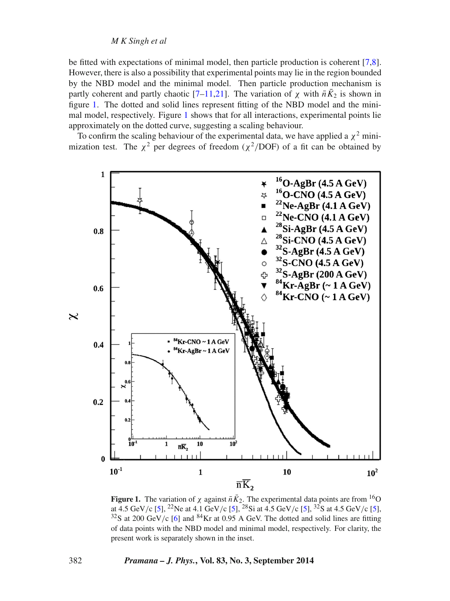## *M K Singh et al*

be fitted with expectations of minimal model, then particle production is coherent [\[7,](#page-9-2)[8\]](#page-9-11). However, there is also a possibility that experimental points may lie in the region bounded by the NBD model and the minimal model. Then particle production mechanism is partly coherent and partly chaotic [\[7–](#page-9-2)[11](#page-9-3)[,21\]](#page-9-12). The variation of  $\chi$  with  $\bar{n}K_2$  is shown in figure [1.](#page-5-0) The dotted and solid lines represent fitting of the NBD model and the minimal model, respectively. Figure [1](#page-5-0) shows that for all interactions, experimental points lie approximately on the dotted curve, suggesting a scaling behaviour.

To confirm the scaling behaviour of the experimental data, we have applied a  $\chi^2$  minimization test. The  $\chi^2$  per degrees of freedom ( $\chi^2$ /DOF) of a fit can be obtained by

<span id="page-5-0"></span>

**Figure 1.** The variation of  $\chi$  against  $\bar{n}K_2$ . The experimental data points are from <sup>16</sup>O at  $4.5$  GeV/c [5] <sup>22</sup>Ne at  $4.5$  GeV/c [5] <sup>22</sup>Ne 150 at 4.5 GeV/c [\[5\]](#page-9-13), <sup>22</sup>Ne at 4.1 GeV/c [5], <sup>28</sup>Si at 4.5 GeV/c [5], <sup>32</sup>S at 4.5 GeV/c [5], <sup>32</sup>S at 4.5 GeV/c [5], <sup>32</sup>S at 200 GeV/c [6] and <sup>84</sup>Kr at 0.95 A GeV. The dotted and solid lines are fitting  $32S$  at 200 GeV/c [\[6\]](#page-9-1) and  $84$ Kr at 0.95 A GeV. The dotted and solid lines are fitting of data points with the NBD model and minimal model, respectively. For clarity, the present work is separately shown in the inset.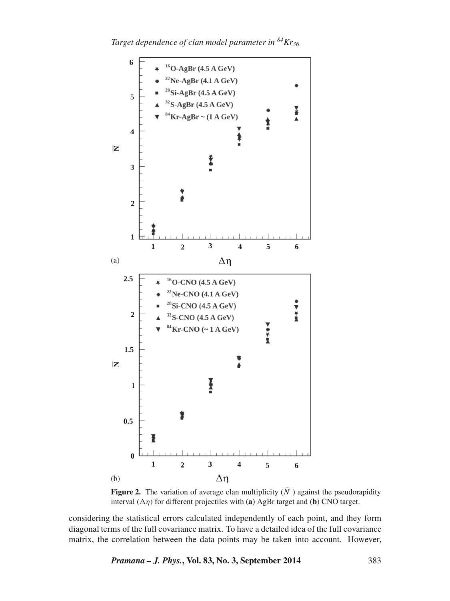*Target dependence of clan model parameter in 84Kr36*

<span id="page-6-0"></span>

**Figure 2.** The variation of average clan multiplicity  $(\bar{N})$  against the pseudorapidity interval  $(\Delta \eta)$  for different projectiles with (**a**) AgBr target and (**b**) CNO target.

considering the statistical errors calculated independently of each point, and they form diagonal terms of the full covariance matrix. To have a detailed idea of the full covariance matrix, the correlation between the data points may be taken into account. However,

*Pramana – J. Phys.***, Vol. 83, No. 3, September 2014** 383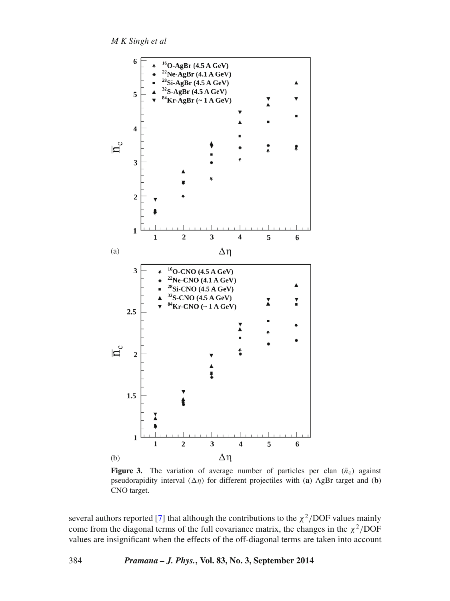*M K Singh et al*

<span id="page-7-0"></span>

**Figure 3.** The variation of average number of particles per clan  $(\bar{n}_c)$  against pseudorapidity interval  $(\Delta \eta)$  for different projectiles with (**a**) AgBr target and (**b**) CNO target CNO target.

several authors reported [\[7\]](#page-9-2) that although the contributions to the  $\chi^2$ /DOF values mainly come from the diagonal terms of the full covariance matrix, the changes in the  $\chi^2$ /DOF values are insignificant when the effects of the off-diagonal terms are taken into account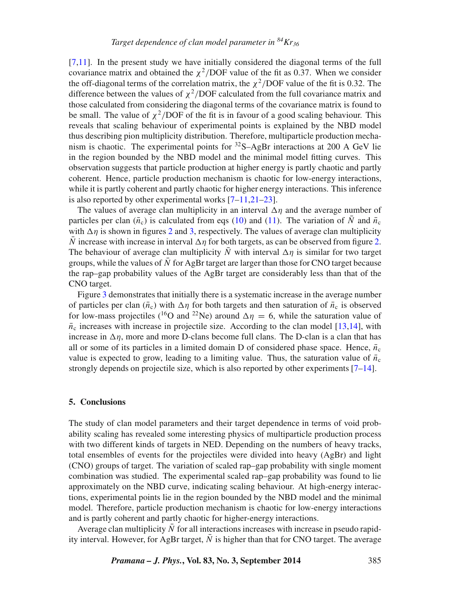[\[7](#page-9-2)[,11\]](#page-9-3). In the present study we have initially considered the diagonal terms of the full covariance matrix and obtained the  $\chi^2$ /DOF value of the fit as 0.37. When we consider the off-diagonal terms of the correlation matrix, the  $\chi^2$ /DOF value of the fit is 0.32. The difference between the values of  $\chi^2$ /DOF calculated from the full covariance matrix and those calculated from considering the diagonal terms of the covariance matrix is found to be small. The value of  $\chi^2$ /DOF of the fit is in favour of a good scaling behaviour. This reveals that scaling behaviour of experimental points is explained by the NBD model thus describing pion multiplicity distribution. Therefore, multiparticle production mechanism is chaotic. The experimental points for  ${}^{32}S - AgBr$  interactions at 200 A GeV lie in the region bounded by the NBD model and the minimal model fitting curves. This observation suggests that particle production at higher energy is partly chaotic and partly coherent. Hence, particle production mechanism is chaotic for low-energy interactions, while it is partly coherent and partly chaotic for higher energy interactions. This inference is also reported by other experimental works [\[7](#page-9-2)[–11](#page-9-3)[,21–](#page-9-12)[23\]](#page-9-14).

The values of average clan multiplicity in an interval  $\Delta \eta$  and the average number of  $\overline{N}$  and  $\overline{n}$  is calculated from eqs. (10) and (11). The variation of  $\overline{N}$  and  $\overline{n}$ particles per clan ( $\bar{n}_{c}$ ) is calculated from eqs [\(10\)](#page-4-0) and [\(11\)](#page-4-1). The variation of N and  $\bar{n}_{c}$ with  $\Delta \eta$  is shown in figures [2](#page-6-0) and [3,](#page-7-0) respectively. The values of average clan multiplicity  $\overline{N}$  increase with increase in interval  $\Delta n$  for both targets, as can be observed from figure 2 N increase with increase in interval  $\Delta \eta$  for both targets, as can be observed from figure [2.](#page-6-0)<br>The behaviour of average clan multiplicity  $\overline{N}$  with interval  $\Delta n$  is similar for two target The behaviour of average clan multiplicity N with interval  $\Delta \eta$  is similar for two target<br>groups while the values of  $\overline{N}$  for AgRt target are larget than those for CNO target because groups, while the values of  $\overline{N}$  for AgBr target are larger than those for CNO target because the rap–gap probability values of the AgBr target are considerably less than that of the CNO target.

Figure [3](#page-7-0) demonstrates that initially there is a systematic increase in the average number of particles per clan  $(\bar{n}_c)$  with  $\Delta \eta$  for both targets and then saturation of  $\bar{n}_c$  is observed<br>for low-mass projectiles (<sup>16</sup>O and <sup>22</sup>Ne) around  $\Delta n = 6$  while the saturation value of for low-mass projectiles (<sup>16</sup>O and <sup>22</sup>Ne) around  $\Delta \eta = 6$ , while the saturation value of  $\bar{p}$  increases with increase in projectile size. According to the clan model [13,14], with  $\bar{n}_c$  increases with increase in projectile size. According to the clan model [\[13,](#page-9-15)[14\]](#page-9-5), with increase in  $\Delta \eta$ , more and more D-clans become full clans. The D-clan is a clan that has<br>all or some of its particles in a limited domain D of considered phase space. Hence  $\bar{n}$ all or some of its particles in a limited domain D of considered phase space. Hence,  $\bar{n}_c$ value is expected to grow, leading to a limiting value. Thus, the saturation value of  $\bar{n}_c$ strongly depends on projectile size, which is also reported by other experiments [\[7](#page-9-2)[–14\]](#page-9-5).

#### **5. Conclusions**

The study of clan model parameters and their target dependence in terms of void probability scaling has revealed some interesting physics of multiparticle production process with two different kinds of targets in NED. Depending on the numbers of heavy tracks, total ensembles of events for the projectiles were divided into heavy (AgBr) and light (CNO) groups of target. The variation of scaled rap–gap probability with single moment combination was studied. The experimental scaled rap–gap probability was found to lie approximately on the NBD curve, indicating scaling behaviour. At high-energy interactions, experimental points lie in the region bounded by the NBD model and the minimal model. Therefore, particle production mechanism is chaotic for low-energy interactions and is partly coherent and partly chaotic for higher-energy interactions.

Average clan multiplicity  $\overline{N}$  for all interactions increases with increase in pseudo rapidity interval. However, for AgBr target,  $\overline{N}$  is higher than that for CNO target. The average